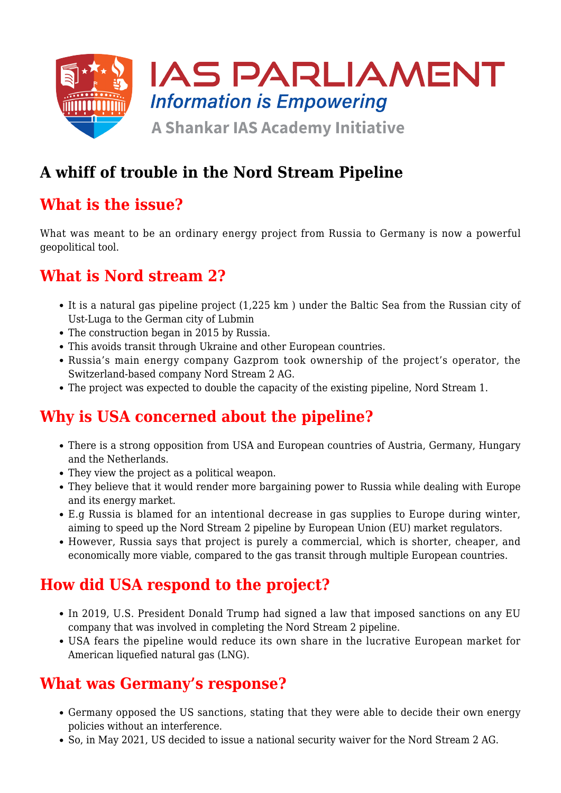

# **A whiff of trouble in the Nord Stream Pipeline**

## **What is the issue?**

What was meant to be an ordinary energy project from Russia to Germany is now a powerful geopolitical tool.

### **What is Nord stream 2?**

- It is a natural gas pipeline project (1,225 km ) under the Baltic Sea from the Russian city of Ust-Luga to the German city of Lubmin
- The construction began in 2015 by Russia.
- This avoids transit through Ukraine and other European countries.
- Russia's main energy company Gazprom took ownership of the project's operator, the Switzerland-based company Nord Stream 2 AG.
- The project was expected to double the capacity of the existing pipeline, Nord Stream 1.

### **Why is USA concerned about the pipeline?**

- There is a strong opposition from USA and European countries of Austria, Germany, Hungary and the Netherlands.
- They view the project as a political weapon.
- They believe that it would render more bargaining power to Russia while dealing with Europe and its energy market.
- E.g Russia is blamed for an intentional decrease in gas supplies to Europe during winter, aiming to speed up the Nord Stream 2 pipeline by European Union (EU) market regulators.
- However, Russia says that project is purely a commercial, which is shorter, cheaper, and economically more viable, compared to the gas transit through multiple European countries.

### **How did USA respond to the project?**

- In 2019, U.S. President Donald Trump had signed a law that imposed sanctions on any EU company that was involved in completing the Nord Stream 2 pipeline.
- USA fears the pipeline would reduce its own share in the lucrative European market for American liquefied natural gas (LNG).

#### **What was Germany's response?**

- Germany opposed the US sanctions, stating that they were able to decide their own energy policies without an interference.
- So, in May 2021, US decided to issue a national security waiver for the Nord Stream 2 AG.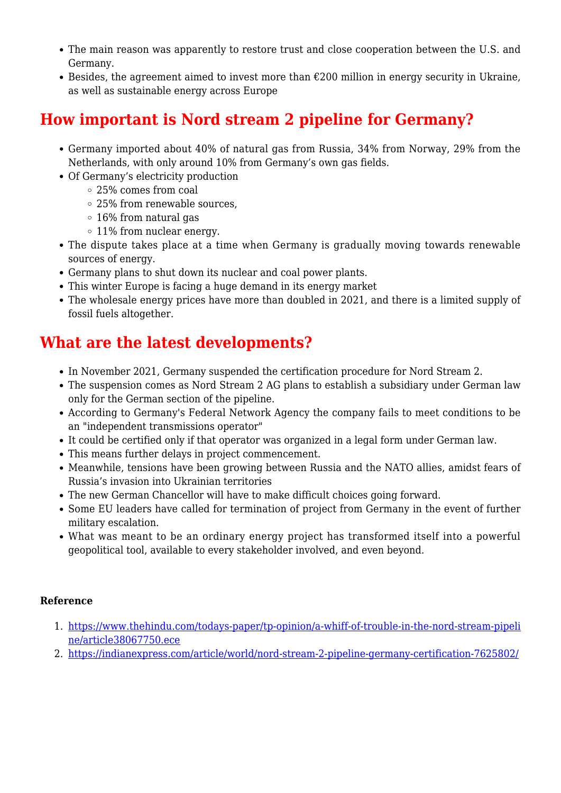- The main reason was apparently to restore trust and close cooperation between the U.S. and Germany.
- Besides, the agreement aimed to invest more than  $\epsilon$ 200 million in energy security in Ukraine, as well as sustainable energy across Europe

### **How important is Nord stream 2 pipeline for Germany?**

- Germany imported about 40% of natural gas from Russia, 34% from Norway, 29% from the Netherlands, with only around 10% from Germany's own gas fields.
- Of Germany's electricity production
	- 25% comes from coal
	- 25% from renewable sources,
	- 16% from natural gas
	- 11% from nuclear energy.
- The dispute takes place at a time when Germany is gradually moving towards renewable sources of energy.
- Germany plans to shut down its nuclear and coal power plants.
- This winter Europe is facing a huge demand in its energy market
- The wholesale energy prices have more than doubled in 2021, and there is a limited supply of fossil fuels altogether.

### **What are the latest developments?**

- In November 2021, Germany suspended the certification procedure for Nord Stream 2.
- The suspension comes as Nord Stream 2 AG plans to establish a subsidiary under German law only for the German section of the pipeline.
- According to Germany's Federal Network Agency the company fails to meet conditions to be an "independent transmissions operator"
- It could be certified only if that operator was organized in a legal form under German law.
- This means further delays in project commencement.
- Meanwhile, tensions have been growing between Russia and the NATO allies, amidst fears of Russia's invasion into Ukrainian territories
- The new German Chancellor will have to make difficult choices going forward.
- Some EU leaders have called for termination of project from Germany in the event of further military escalation.
- What was meant to be an ordinary energy project has transformed itself into a powerful geopolitical tool, available to every stakeholder involved, and even beyond.

#### **Reference**

- 1. [https://www.thehindu.com/todays-paper/tp-opinion/a-whiff-of-trouble-in-the-nord-stream-pipeli](https://www.thehindu.com/todays-paper/tp-opinion/a-whiff-of-trouble-in-the-nord-stream-pipeline/article38067750.ece) [ne/article38067750.ece](https://www.thehindu.com/todays-paper/tp-opinion/a-whiff-of-trouble-in-the-nord-stream-pipeline/article38067750.ece)
- 2. <https://indianexpress.com/article/world/nord-stream-2-pipeline-germany-certification-7625802/>